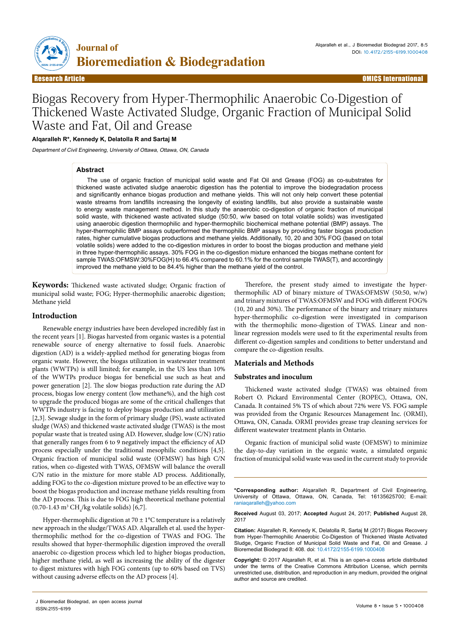

Research Article Open Access Research Article OMICS International

# Biogas Recovery from Hyper-Thermophilic Anaerobic Co-Digestion of Thickened Waste Activated Sludge, Organic Fraction of Municipal Solid Waste and Fat, Oil and Grease

## **Alqaralleh R\*, Kennedy K, Delatolla R and Sartaj M**

Department of Civil Engineering, University of Ottawa, Ottawa, ON, Canada

## **Abstract**

The use of organic fraction of municipal solid waste and Fat Oil and Grease (FOG) as co-substrates for thickened waste activated sludge anaerobic digestion has the potential to improve the biodegradation process and significantly enhance biogas production and methane yields. This will not only help convert these potential waste streams from landfills increasing the longevity of existing landfills, but also provide a sustainable waste to energy waste management method. In this study the anaerobic co-digestion of organic fraction of municipal solid waste, with thickened waste activated sludge (50:50, w/w based on total volatile solids) was investigated using anaerobic digestion thermophilic and hyper-thermophilic biochemical methane potential (BMP) assays. The hyper-thermophilic BMP assays outperformed the thermophilic BMP assays by providing faster biogas production rates, higher cumulative biogas productions and methane yields. Additionally, 10, 20 and 30% FOG (based on total volatile solids) were added to the co-digestion mixtures in order to boost the biogas production and methane yield in three hyper-thermophilic assays. 30% FOG in the co-digestion mixture enhanced the biogas methane content for sample TWAS:OFMSW:30%FOG(H) to 66.4% compared to 60.1% for the control sample TWAS(T), and accordingly improved the methane yield to be 84.4% higher than the methane yield of the control.

**Keywords:** Thickened waste activated sludge; Organic fraction of municipal solid waste; FOG; Hyper-thermophilic anaerobic digestion; Methane yield

#### **Introduction**

Renewable energy industries have been developed incredibly fast in the recent years [1]. Biogas harvested from organic wastes is a potential renewable source of energy alternative to fossil fuels. Anaerobic digestion (AD) is a widely-applied method for generating biogas from organic waste. However, the biogas utilization in wastewater treatment plants (WWTPs) is still limited; for example, in the US less than 10% of the WWTPs produce biogas for beneficial use such as heat and power generation [2]. The slow biogas production rate during the AD process, biogas low energy content (low methane%), and the high cost to upgrade the produced biogas are some of the critical challenges that WWTPs industry is facing to deploy biogas production and utilization [2,3]. Sewage sludge in the form of primary sludge (PS), waste activated sludge (WAS) and thickened waste activated sludge (TWAS) is the most popular waste that is treated using AD. However, sludge low (C/N) ratio that generally ranges from 6 to 9 negatively impact the efficiency of AD process especially under the traditional mesophilic conditions [4,5]. Organic fraction of municipal solid waste (OFMSW) has high C/N ratios, when co-digested with TWAS, OFMSW will balance the overall C/N ratio in the mixture for more stable AD process. Additionally, adding FOG to the co-digestion mixture proved to be an effective way to boost the biogas production and increase methane yields resulting from the AD process. This is due to FOG high theoretical methane potential  $(0.70 - 1.43 \text{ m}^3 \text{ CH}_4/\text{kg}$  volatile solids) [6,7].

Hyper-thermophilic digestion at  $70 \pm 1$ °C temperature is a relatively new approach in the sludge/TWAS AD. Alqaralleh et al. used the hyperthermophilic method for the co-digestion of TWAS and FOG. The results showed that hyper-thermophilic digestion improved the overall anaerobic co-digestion process which led to higher biogas production, higher methane yield, as well as increasing the ability of the digester to digest mixtures with high FOG contents (up to 60% based on TVS) without causing adverse effects on the AD process [4].

Therefore, the present study aimed to investigate the hyperthermophilic AD of binary mixture of TWAS:OFMSW (50:50, w/w) and trinary mixtures of TWAS:OFMSW and FOG with different FOG% (10, 20 and 30%). The performance of the binary and trinary mixtures hyper-thermophilic co-digestion were investigated in comparison with the thermophilic mono-digestion of TWAS. Linear and nonlinear regression models were used to fit the experimental results from different co-digestion samples and conditions to better understand and compare the co-digestion results.

## **Materials and Methods**

## **Substrates and inoculum**

Thickened waste activated sludge (TWAS) was obtained from Robert O. Pickard Environmental Center (ROPEC), Ottawa, ON, Canada. It contained 5% TS of which about 72% were VS. FOG sample was provided from the Organic Resources Management Inc. (ORMI), Ottawa, ON, Canada. ORMI provides grease trap cleaning services for different wastewater treatment plants in Ontario.

Organic fraction of municipal solid waste (OFMSW) to minimize the day-to-day variation in the organic waste, a simulated organic fraction of municipal solid waste was used in the current study to provide

**\*Corresponding author:** Alqaralleh R, Department of Civil Engineering, University of Ottawa, Ottawa, ON, Canada, Tel: 16135625700; E-mail: raniaqaralleh@yahoo.com

**Received** August 03, 2017; **Accepted** August 24, 2017; **Published** August 28, 2017

**Citation:** Alqaralleh R, Kennedy K, Delatolla R, Sartaj M (2017) Biogas Recovery from Hyper-Thermophilic Anaerobic Co-Digestion of Thickened Waste Activated Sludge, Organic Fraction of Municipal Solid Waste and Fat, Oil and Grease. J Bioremediat Biodegrad 8: 408. doi: 10.4172/2155-6199.1000408

**Copyright:** © 2017 Alqaralleh R, et al. This is an open-a ccess article distributed under the terms of the Creative Commons Attribution License, which permits unrestricted use, distribution, and reproduction in any medium, provided the original author and source are credited.

J Bioremediat Biodegrad, an open access journal ISSN:2155-6199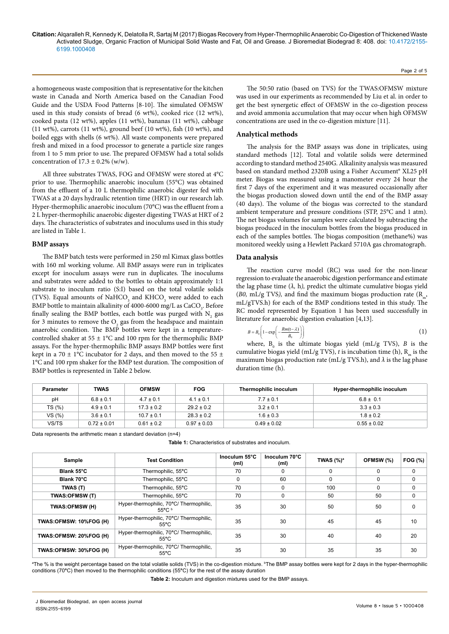a homogeneous waste composition that is representative for the kitchen waste in Canada and North America based on the Canadian Food Guide and the USDA Food Patterns [8-10]. The simulated OFMSW used in this study consists of bread (6 wt%), cooked rice (12 wt%), cooked pasta (12 wt%), apples (11 wt%), bananas (11 wt%), cabbage (11 wt%), carrots (11 wt%), ground beef (10 wt%), fish (10 wt%), and boiled eggs with shells (6 wt%). All waste components were prepared fresh and mixed in a food processor to generate a particle size ranges from 1 to 5 mm prior to use. The prepared OFMSW had a total solids concentration of  $17.3 \pm 0.2\%$  (w/w).

All three substrates TWAS, FOG and OFMSW were stored at 4°C prior to use. Thermophilic anaerobic inoculum (55°C) was obtained from the effluent of a 10 L thermophilic anaerobic digester fed with TWAS at a 20 days hydraulic retention time (HRT) in our research lab. Hyper-thermophilic anaerobic inoculum (70°C) was the effluent from a 2 L hyper-thermophilic anaerobic digester digesting TWAS at HRT of 2 days. The characteristics of substrates and inoculums used in this study are listed in Table 1.

## **BMP assays**

The BMP batch tests were performed in 250 ml Kimax glass bottles with 160 ml working volume. All BMP assays were run in triplicates except for inoculum assays were run in duplicates. The inoculums and substrates were added to the bottles to obtain approximately 1:1 substrate to inoculum ratio (S:I) based on the total volatile solids (TVS). Equal amounts of  $\mathrm{NaHCO}_{3}$  and  $\mathrm{KHCO}_{3}$  were added to each BMP bottle to maintain alkalinity of 4000-6000 mg/L as  $\rm CaCO_{\rm 3}$ . Before finally sealing the BMP bottles, each bottle was purged with  $N_{2}$  gas for 3 minutes to remove the  $O_2$  gas from the headspace and maintain anaerobic condition. The BMP bottles were kept in a temperaturecontrolled shaker at  $55 \pm 1$ °C and 100 rpm for the thermophilic BMP assays. For the hyper-thermophilic BMP assays BMP bottles were first kept in a 70  $\pm$  1°C incubator for 2 days, and then moved to the 55  $\pm$ 1°C and 100 rpm shaker for the BMP test duration. The composition of BMP bottles is represented in Table 2 below.

The 50:50 ratio (based on TVS) for the TWAS:OFMSW mixture was used in our experiments as recommended by Liu et al. in order to get the best synergetic effect of OFMSW in the co-digestion process and avoid ammonia accumulation that may occur when high OFMSW concentrations are used in the co-digestion mixture [11].

Page 2 of 5

#### **Analytical methods**

The analysis for the BMP assays was done in triplicates, using standard methods [12]. Total and volatile solids were determined according to standard method 2540G. Alkalinity analysis was measured based on standard method 2320B using a Fisher Accument® XL25 pH meter. Biogas was measured using a manometer every 24 hour the first 7 days of the experiment and it was measured occasionally after the biogas production slowed down until the end of the BMP assay (40 days). The volume of the biogas was corrected to the standard ambient temperature and pressure conditions (STP, 25°C and 1 atm). The net biogas volumes for samples were calculated by subtracting the biogas produced in the inoculum bottles from the biogas produced in each of the samples bottles. The biogas composition (methane%) was monitored weekly using a Hewlett Packard 5710A gas chromatograph.

#### **Data analysis**

The reaction curve model (RC) was used for the non-linear regression to evaluate the anaerobic digestion performance and estimate the lag phase time  $(\lambda, h)$ , predict the ultimate cumulative biogas yield (*B0, mL/g TVS*), and find the maximum biogas production rate ( $R_m$ , mL/gTVS.h) for each of the BMP conditions tested in this study. The RC model represented by Equation 1 has been used successfully in literature for anaerobic digestion evaluation [4,13].

$$
B = B_0 \left( 1 - \exp\left( -\frac{Rm(t-\lambda)}{B_0} \right) \right) \tag{1}
$$

where,  $B_0$  is the ultimate biogas yield (mL/g TVS),  $B$  is the cumulative biogas yield (mL/g TVS),  $t$  is incubation time (h),  $R_m$  is the maximum biogas production rate (mL/g TVS.h), and *λ* is the lag phase duration time (h).

| Parameter | <b>TWAS</b>     | <b>OFMSW</b>   | <b>FOG</b>      | Thermophilic inoculum | Hyper-thermophilic inoculum |
|-----------|-----------------|----------------|-----------------|-----------------------|-----------------------------|
| pH        | $6.8 \pm 0.1$   | $4.7 \pm 0.1$  | $4.1 \pm 0.1$   | $7.7 \pm 0.1$         | $6.8 \pm 0.1$               |
| TS (%)    | $4.9 \pm 0.1$   | $17.3 \pm 0.2$ | $29.2 \pm 0.2$  | $3.2 \pm 0.1$         | $3.3 \pm 0.3$               |
| VS (%)    | $3.6 \pm 0.1$   | $10.7 \pm 0.1$ | $28.3 \pm 0.2$  | $1.6 \pm 0.3$         | $1.8 \pm 0.2$               |
| VS/TS     | $0.72 \pm 0.01$ | $0.61 \pm 0.2$ | $0.97 \pm 0.03$ | $0.49 \pm 0.02$       | $0.55 \pm 0.02$             |

Data represents the arithmetic mean ± standard deviation (n=4)

**Table 1:** Characteristics of substrates and inoculum.

| <b>Test Condition</b><br>Sample |                                                             | Inoculum 55°C<br>(ml) | Inoculum 70°C<br>(m <sub>l</sub> ) | TWAS $(\%)^a$ | OFMSW (%) | FOG (%)  |
|---------------------------------|-------------------------------------------------------------|-----------------------|------------------------------------|---------------|-----------|----------|
| Blank 55°C                      | Thermophilic, 55°C                                          | 70                    | 0                                  | $\Omega$      | $\Omega$  | $\Omega$ |
| Blank 70°C                      | Thermophilic, 55°C                                          |                       | 60                                 | 0             | $\Omega$  | 0        |
| TWAS (T)                        | Thermophilic, 55°C                                          | 70                    | $\Omega$                           | 100           | $\Omega$  | 0        |
| <b>TWAS:OFMSW (T)</b>           | Thermophilic, 55°C                                          | 70                    | $\Omega$                           | 50            | 50        | $\Omega$ |
| TWAS:OFMSW (H)                  | Hyper-thermophilic, 70°C/ Thermophilic,<br>$55^{\circ}$ C b | 35                    | 30                                 | 50            | 50        | $\Omega$ |
| TWAS:OFMSW: 10%FOG (H)          | Hyper-thermophilic, 70°C/ Thermophilic,<br>$55^{\circ}$ C   | 35                    | 30                                 | 45            | 45        | 10       |
| TWAS:OFMSW: 20%FOG (H)          | Hyper-thermophilic, 70°C/Thermophilic,<br>$55^{\circ}$ C    | 35                    | 30                                 | 40            | 40        | 20       |
| TWAS:OFMSW: 30%FOG (H)          | Hyper-thermophilic, 70°C/ Thermophilic,<br>$55^{\circ}$ C   | 35                    | 30                                 | 35            | 35        | 30       |

ªThe % is the weight percentage based on the total volatile solids (TVS) in the co-digestion mixture. <sup>b</sup>The BMP assay bottles were kept for 2 days in the hyper-thermophilic conditions (70**°**C) then moved to the thermophilic conditions (55**°**C) for the rest of the assay duration

**Table 2:** Inoculum and digestion mixtures used for the BMP assays.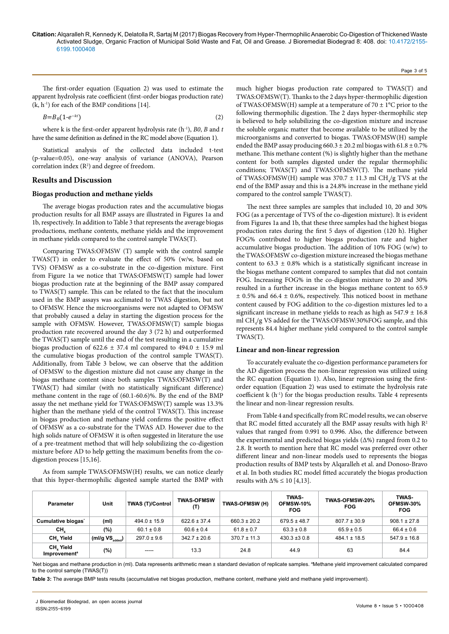The first-order equation (Equation 2) was used to estimate the apparent hydrolysis rate coefficient (first-order biogas production rate)  $(k, h^{-1})$  for each of the BMP conditions [14].

$$
B=B_0(1-e^{-kt})\tag{2}
$$

where k is the first-order apparent hydrolysis rate (h<sup>-1</sup>), *B0*, *B* and *t* have the same definition as defined in the RC model above (Equation 1).

Statistical analysis of the collected data included t-test (p-value=0.05), one-way analysis of variance (ANOVA), Pearson correlation index  $(R^2)$  and degree of freedom.

## **Results and Discussion**

## **Biogas production and methane yields**

The average biogas production rates and the accumulative biogas production results for all BMP assays are illustrated in Figures 1a and 1b, respectively. In addition to Table 3 that represents the average biogas productions, methane contents, methane yields and the improvement in methane yields compared to the control sample TWAS(T).

Comparing TWAS:OFMSW (T) sample with the control sample TWAS(T) in order to evaluate the effect of 50% (w/w, based on TVS) OFMSW as a co-substrate in the co-digestion mixture. First from Figure 1a we notice that TWAS:OFMSW(T) sample had lower biogas production rate at the beginning of the BMP assay compared to TWAS(T) sample. This can be related to the fact that the inoculum used in the BMP assays was acclimated to TWAS digestion, but not to OFMSW. Hence the microorganisms were not adapted to OFMSW that probably caused a delay in starting the digestion process for the sample with OFMSW. However, TWAS:OFMSW(T) sample biogas production rate recovered around the day 3 (72 h) and outperformed the TWAS(T) sample until the end of the test resulting in a cumulative biogas production of  $622.6 \pm 37.4$  ml compared to  $494.0 \pm 15.9$  ml the cumulative biogas production of the control sample TWAS(T). Additionally, from Table 3 below, we can observe that the addition of OFMSW to the digestion mixture did not cause any change in the biogas methane content since both samples TWAS:OFMSW(T) and TWAS(T) had similar (with no statistically significant difference) methane content in the rage of (60.1-60.6)%. By the end of the BMP assay the net methane yield for TWAS:OFMSW(T) sample was 13.3% higher than the methane yield of the control TWAS(T). This increase in biogas production and methane yield confirms the positive effect of OFMSW as a co-substrate for the TWAS AD. However due to the high solids nature of OFMSW it is often suggested in literature the use of a pre-treatment method that will help solubilizing the co-digestion mixture before AD to help getting the maximum benefits from the codigestion process [15,16].

As from sample TWAS:OFMSW(H) results, we can notice clearly that this hyper-thermophilic digested sample started the BMP with

much higher biogas production rate compared to TWAS(T) and TWAS:OFMSW(T). Thanks to the 2 days hyper-thermophilic digestion of TWAS:OFMSW(H) sample at a temperature of  $70 \pm 1^{\circ}$ C prior to the following thermophilic digestion. The 2 days hyper-thermophilic step is believed to help solubilizing the co-digestion mixture and increase the soluble organic matter that become available to be utilized by the microorganisms and converted to biogas. TWAS:OFMSW(H) sample ended the BMP assay producing  $660.3 \pm 20.2$  ml biogas with  $61.8 \pm 0.7\%$ methane. This methane content (%) is slightly higher than the methane content for both samples digested under the regular thermophilic conditions; TWAS(T) and TWAS:OFMSW(T). The methane yield of TWAS:OFMSW(H) sample was  $370.7 \pm 11.3$  ml CH<sub>4</sub>/g TVS at the end of the BMP assay and this is a 24.8% increase in the methane yield compared to the control sample TWAS(T).

Page 3 of 5

The next three samples are samples that included 10, 20 and 30% FOG (as a percentage of TVS of the co-digestion mixture). It is evident from Figures 1a and 1b, that these three samples had the highest biogas production rates during the first 5 days of digestion (120 h). Higher FOG% contributed to higher biogas production rate and higher accumulative biogas production. The addition of 10% FOG (w/w) to the TWAS:OFMSW co-digestion mixture increased the biogas methane content to  $63.3 \pm 0.8\%$  which is a statistically significant increase in the biogas methane content compared to samples that did not contain FOG. Increasing FOG% in the co-digestion mixture to 20 and 30% resulted in a further increase in the biogas methane content to 65.9  $\pm$  0.5% and 66.4  $\pm$  0.6%, respectively. This noticed boost in methane content caused by FOG addition to the co-digestion mixtures led to a significant increase in methane yields to reach as high as  $547.9 \pm 16.8$ ml CH<sub>4</sub>/g VS added for the TWAS:OFMSW:30%FOG sample, and this represents 84.4 higher methane yield compared to the control sample TWAS(T).

## **Linear and non-linear regression**

To accurately evaluate the co-digestion performance parameters for the AD digestion process the non-linear regression was utilized using the RC equation (Equation 1). Also, linear regression using the firstorder equation (Equation 2) was used to estimate the hydrolysis rate coefficient  $k(h^{-1})$  for the biogas production results. Table 4 represents the linear and non-linear regression results.

From Table 4 and specifically from RC model results, we can observe that RC model fitted accurately all the BMP assay results with high R<sup>2</sup> values that ranged from 0.991 to 0.996. Also, the difference between the experimental and predicted biogas yields (Δ%) ranged from 0.2 to 2.8. It worth to mention here that RC model was preferred over other different linear and non-linear models used to represents the biogas production results of BMP tests by Alqaralleh et al. and Donoso-Bravo et al. In both studies RC model fitted accurately the biogas production results with  $\Delta\% \leq 10$  [4,13].

| <b>Parameter</b>                      | Unit                        | <b>TWAS (T)/Control</b> | <b>TWAS-OFMSW</b><br>(T) | TWAS-OFMSW (H)   | <b>TWAS-</b><br>OFMSW-10%<br><b>FOG</b> | <b>TWAS-OFMSW-20%</b><br><b>FOG</b> | TWAS-<br>OFMSW-30%<br><b>FOG</b> |
|---------------------------------------|-----------------------------|-------------------------|--------------------------|------------------|-----------------------------------------|-------------------------------------|----------------------------------|
| Cumulative biogas <sup>*</sup>        | (ml)                        | $494.0 \pm 15.9$        | $622.6 \pm 37.4$         | $660.3 \pm 20.2$ | $679.5 \pm 48.7$                        | $807.7 \pm 30.9$                    | $908.1 \pm 27.8$                 |
| CH,                                   | (%)                         | $60.1 \pm 0.8$          | $60.6 \pm 0.4$           | $61.8 \pm 0.7$   | $63.3 \pm 0.8$                          | $65.9 \pm 0.5$                      | $66.4 \pm 0.6$                   |
| CH, Yield                             | (ml/g $VS_{\text{added}}$ ) | $297.0 \pm 9.6$         | $342.7 \pm 20.6$         | $370.7 \pm 11.3$ | $430.3 \pm 30.8$                        | $484.1 \pm 18.5$                    | $547.9 \pm 16.8$                 |
| CH, Yield<br>Improvement <sup>a</sup> | (%)                         | -----                   | 13.3                     | 24.8             | 44.9                                    | 63                                  | 84.4                             |

\*Net biogas and methane production in (ml). Data represents arithmetic mean ± standard deviation of replicate samples. <sup>a</sup>Methane yield improvement calculated compared to the control sample (TWAS(T))

**Table 3:** The average BMP tests results (accumulative net biogas production, methane content, methane yield and methane yield improvement).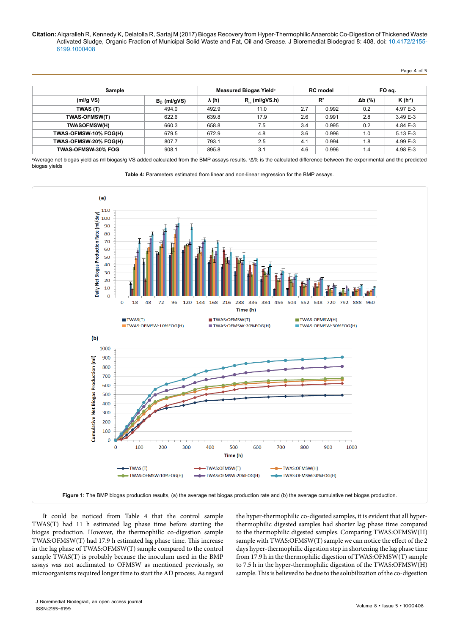Page 4 of 5

| Sample                |                | Measured Biogas Yield <sup>a</sup> | <b>RC</b> model  |                | FO eq. |                |             |
|-----------------------|----------------|------------------------------------|------------------|----------------|--------|----------------|-------------|
| (mI/gVS)              | $B_0$ (ml/gVS) | λ (h)                              | $R_m$ (ml/gVS.h) | $\mathbb{R}^2$ |        | $\Delta b$ (%) | $K(h^{-1})$ |
| TWAS (T)              | 494.0          | 492.9                              | 11.0             | 2.7            | 0.992  | 0.2            | 4.97 E-3    |
| <b>TWAS-OFMSW(T)</b>  | 622.6          | 639.8                              | 17.9             | 2.6            | 0.991  | 2.8            | 3.49 E-3    |
| <b>TWASOFMSW(H)</b>   | 660.3          | 658.8                              | 7.5              | 3.4            | 0.995  | 0.2            | 4.84 E-3    |
| TWAS-OFMSW-10% FOG(H) | 679.5          | 672.9                              | 4.8              | 3.6            | 0.996  | 1.0            | 5.13 E-3    |
| TWAS-OFMSW-20% FOG(H) | 807.7          | 793.1                              | 2.5              | 4.1            | 0.994  | 1.8            | 4.99 E-3    |
| TWAS-OFMSW-30% FOG    | 908.1          | 895.8                              | 3.1              | 4.6            | 0.996  | 1.4            | 4.98 E-3    |

ªAverage net biogas yield as ml biogas/g VS added calculated from the BMP assays results. ♭Δ% is the calculated difference between the experimental and the predicted biogas yields

**Table 4:** Parameters estimated from linear and non-linear regression for the BMP assays.



It could be noticed from Table 4 that the control sample TWAS(T) had 11 h estimated lag phase time before starting the biogas production. However, the thermophilic co-digestion sample TWAS:OFMSW(T) had 17.9 h estimated lag phase time. This increase in the lag phase of TWAS:OFMSW(T) sample compared to the control sample TWAS(T) is probably because the inoculum used in the BMP assays was not acclimated to OFMSW as mentioned previously, so microorganisms required longer time to start the AD process. As regard

the hyper-thermophilic co-digested samples, it is evident that all hyperthermophilic digested samples had shorter lag phase time compared to the thermophilic digested samples. Comparing TWAS:OFMSW(H) sample with TWAS:OFMSW(T) sample we can notice the effect of the 2 days hyper-thermophilic digestion step in shortening the lag phase time from 17.9 h in the thermophilic digestion of TWAS:OFMSW(T) sample to 7.5 h in the hyper-thermophilic digestion of the TWAS:OFMSW(H) sample. This is believed to be due to the solubilization of the co-digestion

J Bioremediat Biodegrad, an open access journal ISSN:2155-6199